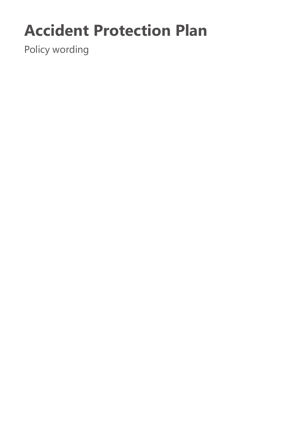# **Accident Protection Plan**

Policy wording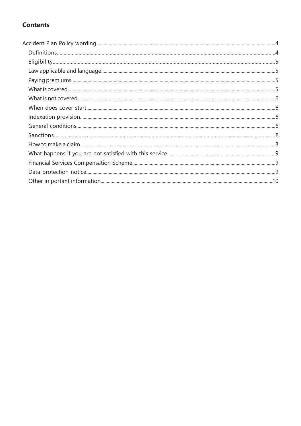# **Contents**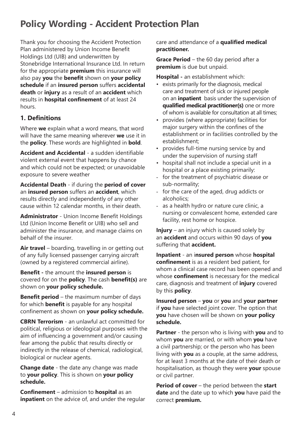# **Policy Wording - Accident Protection Plan**

Thank you for choosing the Accident Protection Plan administered by Union Income Benefit Holdings Ltd (UIB) and underwritten by Stonebridge International Insurance Ltd. In return for the appropriate **premium** this insurance will also pay **you** the **benefit** shown on **your policy schedule** if an **insured person** suffers **accidental death** or **injury** as a result of an **accident** which results in **hospital confinement** of at least 24 hours.

# **1. Definitions**

Where **we** explain what a word means, that word will have the same meaning wherever **we** use it in the **policy**. These words are highlighted in **bold**.

**Accident and Accidental** - a sudden identifiable violent external event that happens by chance and which could not be expected; or unavoidable exposure to severe weather

**Accidental Death** - if during the **period of cover**  an **insured person** suffers an **accident**, which results directly and independently of any other cause within 12 calendar months, in their death.

**Administrator** - Union Income Benefit Holdings Ltd (Union Income Benefit or UIB) who sell and administer the insurance, and manage claims on behalf of the insurer.

**Air travel** – boarding, travelling in or getting out of any fully licensed passenger carrying aircraft (owned by a registered commercial airline).

**Benefit -** the amount the **insured person** is covered for on the **policy**. The cash **benefit(s)** are shown on **your policy schedule.**

**Benefit period** – the maximum number of days for which **benefit** is payable for any hospital confinement as shown on **your policy schedule.**

**CBRN Terrorism** - an unlawful act committed for political, religious or ideological purposes with the aim of influencing a government and/or causing fear among the public that results directly or indirectly in the release of chemical, radiological, biological or nuclear agents.

**Change date** - the date any change was made to **your policy**. This is shown on **your policy schedule.**

**Confinement** – admission to **hospital** as an **inpatient** on the advice of, and under the regular care and attendance of a **qualified medical practitioner.**

**Grace Period** – the 60 day period after a **premium** is due but unpaid.

**Hospital -** an establishment which:

- exists primarily for the diagnosis, medical care and treatment of sick or injured people on an **inpatient** basis under the supervision of **qualified medical practitioner(s)** one or more of whom is available for consultation at all times;
- provides (where appropriate) facilities for major surgery within the confines of the establishment or in facilities controlled by the establishment;
- provides full-time nursing service by and under the supervision of nursing staff
- hospital shall not include a special unit in a hospital or a place existing primarily:
- for the treatment of psychiatric disease or sub-normality;
- for the care of the aged, drug addicts or alcoholics;
- as a health hydro or nature cure clinic, a nursing or convalescent home, extended care facility, rest home or hospice.

**Injury** – an injury which is caused solely by an **accident** and occurs within 90 days of **you**  suffering that **accident.**

**Inpatient** - an i**nsured person** whose **hospital confinement** is as a resident bed patient, for whom a clinical case record has been opened and whose **confinement** is necessary for the medical care, diagnosis and treatment of **injury** covered by this **policy**.

**Insured person** – **you** or **you** and **your partner**  if **you** have selected joint cover. The option that **you** have chosen will be shown on **your policy schedule.**

**Partner** - the person who is living with **you** and to whom **you** are married, or with whom **you** have a civil partnership; or the person who has been living with **you** as a couple, at the same address, for at least 3 months at the date of their death or hospitalisation, as though they were **your** spouse or civil partner.

**Period of cover** – the period between the **start date** and the date up to which **you** have paid the correct **premium.**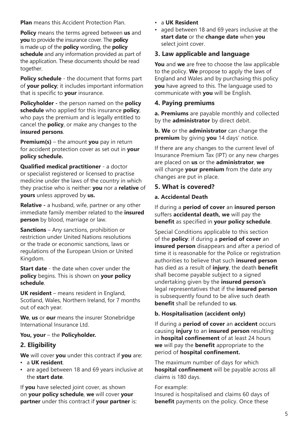**Plan** means this Accident Protection Plan.

**Policy** means the terms agreed between **us** and **you** to provide the insurance cover. The **policy** is made up of the **policy** wording, the **policy schedule** and any information provided as part of the application. These documents should be read together.

**Policy schedule** - the document that forms part of **your policy**; it includes important information that is specific to **your** insurance.

**Policyholder -** the person named on the **policy schedule** who applied for this insurance **policy**, who pays the premium and is legally entitled to cancel the **policy**, or make any changes to the **insured persons**.

**Premium(s)** – the amount **you** pay in return for accident protection cover as set out in **your policy schedule.**

**Qualified medical practitioner** - a doctor or specialist registered or licensed to practise medicine under the laws of the country in which they practise who is neither: **you** nor a **relative** of **yours** unless approved by **us.**

**Relative -** a husband, wife, partner or any other immediate family member related to the **insured person** by blood, marriage or law.

**Sanctions** – Any sanctions, prohibition or restriction under United Nations resolutions or the trade or economic sanctions, laws or regulations of the European Union or United Kingdom.

**Start date** - the date when cover under the **policy** begins. This is shown on **your policy schedule**.

**UK resident** – means resident in England, Scotland, Wales, Northern Ireland, for 7 months out of each year.

**We**, **us** or **our** means the insurer Stonebridge International Insurance Ltd.

#### **You, your** – the **Policyholder.**

# **2. Eligibility**

**We** will cover **you** under this contract if **you** are: **▪** a **UK resident**.

**▪** are aged between 18 and 69 years inclusive at the **start date**.

If **you** have selected joint cover, as shown on **your policy schedule**, **we** will cover **your partner** under this contract if **your partner** is:

#### • a **UK Resident**

• aged between 18 and 69 years inclusive at the **start date** or the **change date** when **you**  select joint cover.

# **3. Law applicable and language**

**You** and **we** are free to choose the law applicable to the policy. **We** propose to apply the laws of England and Wales and by purchasing this policy **you** have agreed to this. The language used to communicate with **you** will be English.

# **4. Paying premiums**

**a. Premiums** are payable monthly and collected by the **administrator** by direct debit.

**b. We** or the **administrator** can change the **premium** by giving **you** 14 days' notice.

If there are any changes to the current level of Insurance Premium Tax (IPT) or any new charges are placed on **us** or the **administrator**, **we**  will change **your premium** from the date any changes are put in place.

# **5. What is covered?**

#### **a. Accidental Death**

If during a **period of cover** an **insured person**  suffers **accidental death, we** will pay the **benefit** as specified in **your policy schedule**.

Special Conditions applicable to this section of the **policy**: if during a **period of cover** an **insured person** disappears and after a period of time it is reasonable for the Police or registration authorities to believe that such **insured person**  has died as a result of **injury**, the death **benefit**  shall become payable subject to a signed undertaking given by the **insured person's**  legal representatives that if the **insured person**  is subsequently found to be alive such death **benefit** shall be refunded to **us**.

#### **b. Hospitalisation (accident only)**

If during a **period of cover** an **accident** occurs causing **injury** to an **insured person** resulting in **hospital confinement** of at least 24 hours **we** will pay the **benefit** appropriate to the period of **hospital confinement.**

The maximum number of days for which **hospital confinement** will be payable across all claims is 180 days.

#### For example:

Insured is hospitalised and claims 60 days of **benefit** payments on the policy. Once these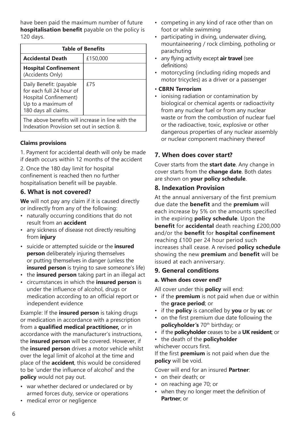have been paid the maximum number of future **hospitalisation benefit** payable on the policy is 120 days.

| <b>Table of Benefits</b>                                                                                                   |          |  |  |
|----------------------------------------------------------------------------------------------------------------------------|----------|--|--|
| <b>Accidental Death</b>                                                                                                    | £150,000 |  |  |
| <b>Hospital Confinement</b><br>(Accidents Only)                                                                            |          |  |  |
| Daily Benefit: (payable<br>for each full 24 hour of<br>Hospital Confinement)<br>Up to a maximum of<br>180 days all claims. | £75      |  |  |
| The above benefits will increase in line with the<br>Indexation Provision set out in section 8.                            |          |  |  |

#### **Claims provisions**

1. Payment for accidental death will only be made if death occurs within 12 months of the accident

2. Once the 180 day limit for hospital confinement is reached then no further hospitalisation benefit will be payable.

# **6. What is not covered?**

**We** will not pay any claim if it is caused directly or indirectly from any of the following:

- naturally occurring conditions that do not result from an **accident**
- any sickness of disease not directly resulting from **injury**
- suicide or attempted suicide or the **insured person** deliberately injuring themselves or putting themselves in danger (unless the **insured person** is trying to save someone's life)
- the **insured person** taking part in an illegal act
- circumstances in which the **insured person** is under the influence of alcohol, drugs or medication according to an official report or independent evidence

Example: If the **insured person** is taking drugs or medication in accordance with a prescription from a **qualified medical practitioner,** or in accordance with the manufacturer's instructions, the **insured person** will be covered. However, if the **insured person** drives a motor vehicle whilst over the legal limit of alcohol at the time and place of the **accident**, this would be considered to be 'under the influence of alcohol' and the **policy** would not pay out.

- war whether declared or undeclared or by armed forces duty, service or operations
- medical error or negligence
- competing in any kind of race other than on foot or while swimming
- participating in diving, underwater diving, mountaineering / rock climbing, potholing or parachuting
- any flying activity except **air travel** (see definitions)
- motorcycling (including riding mopeds and motor tricycles) as a driver or a passenger
- **CBRN Terrorism**
- ionising radiation or contamination by biological or chemical agents or radioactivity from any nuclear fuel or from any nuclear waste or from the combustion of nuclear fuel or the radioactive, toxic, explosive or other dangerous properties of any nuclear assembly or nuclear component machinery thereof

# **7. When does cover start?**

Cover starts from the **start date**. Any change in cover starts from the **change date**. Both dates are shown on **your policy schedule**.

#### **8. Indexation Provision**

At the annual anniversary of the first premium due date the **benefit** and the **premium** will each increase by 5% on the amounts specified in the expiring **policy schedule**. Upon the **benefit** for **accidental** death reaching £200,000 and/or the **benefit** for **hospital confinement**  reaching £100 per 24 hour period such increases shall cease. A revised **policy schedule**  showing the new **premium** and **benefit** will be issued at each anniversary.

#### **9. General conditions**

#### **a. When does cover end?**

All cover under this **policy** will end:

- if the **premium** is not paid when due or within the **grace period**; or
- if the **policy** is cancelled by **you** or by **us**; or
- on the first premium due date following the **policyholder's** 70th birthday; or
- if the **policyholder** ceases to be a **UK resident**; or
- the death of the **policyholder**  whichever occurs first.

If the first **premium** is not paid when due the **policy** will be void.

Cover will end for an insured **Partner**:

- on their death; or
- on reaching age 70; or
- when they no longer meet the definition of **Partner**; or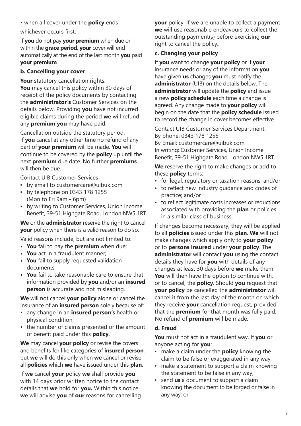• when all cover under the **policy** ends whichever occurs first.

If **you** do not pay **your premium** when due or within the **grace period**, **your** cover will end automatically at the end of the last month **you** paid **your premium**.

#### **b. Cancelling your cover**

Your statutory cancellation rights: **You** may cancel this policy within 30 days of receipt of the policy documents by contacting the **administrator's** Customer Services on the details below. Providing **you** have not incurred eligible claims during the period **we** will refund any **premium you** may have paid.

Cancellation outside the statutory period: If **you** cancel at any other time no refund of any part of **your premium** will be made. **You** will continue to be covered by the **policy** up until the next **premium** due date. No further **premiums** will then be due.

Contact UIB Customer Services

- by email to customercare@uibuk.com
- by telephone on 0343 178 1255 (Mon to Fri 9am - 6pm)
- by writing to Customer Services, Union Income Benefit, 39-51 Highgate Road, London NW5 1RT

**We** or the **administrator** reserve the right to cancel **your** policy when there is a valid reason to do so.

Valid reasons include, but are not limited to:

- **• You** fail to pay the **premium** when due;
- **• You** act in a fraudulent manner;
- **• You** fail to supply requested validation documents;
- **• You** fail to take reasonable care to ensure that information provided by **you** and/or an **insured person** is accurate and not misleading.

**We** will not cancel **your policy** alone or cancel the insurance of an **insured person** solely because of:

- any change in an **insured person's** health or physical condition;
- the number of claims presented or the amount of benefit paid under this **policy**.

**We** may cancel **your policy** or revise the covers and benefits for like categories of **insured person**, but **we** will do this only when **we** cancel or revise all **policies** which **we** have issued under this **plan**.

If **we** cancel **your** policy **we** shall provide **you**  with 14 days prior written notice to the contact details that **we** hold for **you.** Within this notice **we** will advise **you** of **our** reasons for cancelling **your** policy. If **we** are unable to collect a payment **we** will use reasonable endeavours to collect the outstanding payment(s) before exercising **our** right to cancel the policy**.**

# **c. Changing your policy**

If **you** want to change **your policy** or if **your** insurance needs or any of the information **you** have given **us** changes **you** must notify the **administrator** (UIB) on the details below. The **administrator** will update the **policy** and issue a new **policy schedule** each time a change is agreed. Any change made to **your policy** will begin on the date that the **policy schedule** issued to record the change in cover becomes effective.

Contact UIB Customer Services Department: By phone: 0343 178 1255 By Email: customercare@uibuk.com In writing: Customer Services, Union Income Benefit, 39-51 Highgate Road, London NW5 1RT.

**We** reserve the right to make changes or add to these **policy** terms:

- for legal, regulatory or taxation reasons; and/or
- to reflect new industry guidance and codes of practice; and/or
- to reflect legitimate costs increases or reductions associated with providing the **plan** or policies in a similar class of business.

If changes become necessary, they will be applied to all **policies** issued under this **plan**. **We** will not make changes which apply only to **your policy** or to **persons insured** under **your policy**. The **administrator** will contact **you** using the contact details they have for **you** with details of any changes at least 30 days before **we** make them. **You** will then have the option to continue with, or to cancel, the **policy**. Should **you** request that **your policy** be cancelled the **administrator** will cancel it from the last day of the month on which they receive **your** cancellation request, provided that the **premium** for that month was fully paid. No refund of **premium** will be made.

# **d. Fraud**

**You** must not act in a fraudulent way. If **you** or anyone acting for **you**:

- make a claim under the **policy** knowing the claim to be false or exaggerated in any way;
- make a statement to support a claim knowing the statement to be false in any way;
- send **us** a document to support a claim knowing the document to be forged or false in any way; or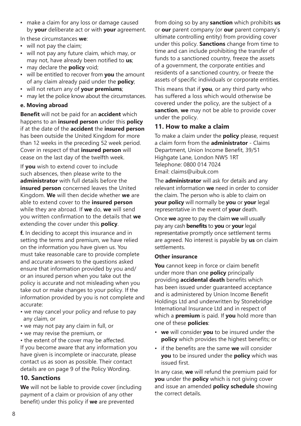▪ make a claim for any loss or damage caused by **your** deliberate act or with **your** agreement.

In these circumstances **we**:

- will not pay the claim;
- will not pay any future claim, which may, or may not, have already been notified to **us**;
- may declare the **policy** void;
- will be entitled to recover from **you** the amount of any claim already paid under the **policy**;
- will not return any of **your premiums**;
- may let the police know about the circumstances.

#### **e. Moving abroad**

**Benefit** will not be paid for an **accident** which happens to an **insured person** under this **policy** if at the date of the **accident** the **insured person** has been outside the United Kingdom for more than 12 weeks in the preceding 52 week period. Cover in respect of that **insured person** will cease on the last day of the twelfth week.

If **you** wish to extend cover to include such absences, then please write to the **administrator** with full details before the **insured person** concerned leaves the United Kingdom. **We** will then decide whether **we** are able to extend cover to the **insured person** while they are abroad. If **we** do, **we** will send you written confirmation to the details that **we** extending the cover under this **policy**.

**f.** In deciding to accept this insurance and in setting the terms and premium, we have relied on the information you have given us. You must take reasonable care to provide complete and accurate answers to the questions asked ensure that information provided by you and/ or an insured person when you take out the policy is accurate and not misleading when you take out or make changes to your policy. If the information provided by you is not complete and accurate:

- we may cancel your policy and refuse to pay any claim, or
- we may not pay any claim in full, or
- we may revise the premium, or

• the extent of the cover may be affected. If you become aware that any information you have given is incomplete or inaccurate, please contact us as soon as possible. Their contact details are on page 9 of the Policy Wording.

# **10. Sanctions**

**We** will not be liable to provide cover (including payment of a claim or provision of any other benefit) under this policy if **we** are prevented

from doing so by any **sanction** which prohibits **us** or **our** parent company (or **our** parent company's ultimate controlling entity) from providing cover under this policy. **Sanctions** change from time to time and can include prohibiting the transfer of funds to a sanctioned country, freeze the assets of a government, the corporate entities and residents of a sanctioned country, or freeze the assets of specific individuals or corporate entities.

This means that if **you**, or any third party who has suffered a loss which would otherwise be covered under the policy, are the subject of a **sanction**, **we** may not be able to provide cover under the policy.

# **11. How to make a claim**

To make a claim under the **policy** please, request a claim form from the **administrator** - Claims Department, Union Income Benefit, 39/51 Highgate Lane, London NW5 1RT Telephone: 0800 014 7024 Email: claims@uibuk.com

The **administrator** will ask for details and any relevant information **we** need in order to consider the claim. The person who is able to claim on **your policy** will normally be **you** or **your** legal representative in the event of **your** death.

Once **we** agree to pay the claim **we** will usually pay any cash **benefits** to **you** or **your** legal representative promptly once settlement terms are agreed. No interest is payable by **us** on claim settlements.

#### **Other insurance**

**You** cannot keep in force or claim benefit under more than one **policy** principally providing **accidental death** benefits which has been issued under guaranteed acceptance and is administered by Union Income Benefit Holdings Ltd and underwritten by Stonebridge International Insurance Ltd and in respect of which a **premium** is paid. If **you** hold more than one of these **policies**:

- **we** will consider **you** to be insured under the **policy** which provides the highest benefits; or
- if the benefits are the same **we** will consider **you** to be insured under the **policy** which was issued first.

In any case, **we** will refund the premium paid for **you** under the **policy** which is not giving cover and issue an amended **policy schedule** showing the correct details.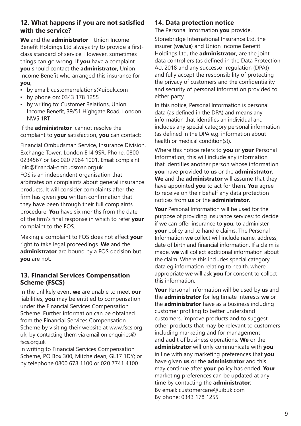# **12. What happens if you are not satisfied with the service?**

**We** and the **administrator** - Union Income Benefit Holdings Ltd always try to provide a firstclass standard of service. However, sometimes things can go wrong. If **you** have a complaint **you** should contact the **administrator,** Union Income Benefit who arranged this insurance for **you**;

- by email: customerrelations@uibuk.com
- by phone on: 0343 178 1255
- by writing to: Customer Relations, Union Income Benefit, 39/51 Highgate Road, London NW5 1RT

If the **administrator** cannot resolve the complaint to **your** satisfaction, **you** can contact:

Financial Ombudsman Service, Insurance Division, Exchange Tower, London E14 9SR. Phone: 0800 0234567 or fax: 020 7964 1001. Email: complaint. info@financial-ombudsman.org.uk. FOS is an independent organisation that arbitrates on complaints about general insurance products. It will consider complaints after the firm has given **you** written confirmation that they have been through their full complaints procedure. **You** have six months from the date of the firm's final response in which to refer **your** complaint to the FOS.

Making a complaint to FOS does not affect **your** right to take legal proceedings. **We** and the **administrator** are bound by a FOS decision but **you** are not.

# **13. Financial Services Compensation Scheme (FSCS)**

In the unlikely event **we** are unable to meet **our** liabilities, **you** may be entitled to compensation under the Financial Services Compensation Scheme. Further information can be obtained from the Financial Services Compensation Scheme by visiting their website at www.fscs.org. uk, by contacting them via email on enquiries@ fscs.org.uk

in writing to Financial Services Compensation Scheme, PO Box 300, Mitcheldean, GL17 1DY; or by telephone 0800 678 1100 or 020 7741 4100.

# **14. Data protection notice**

The Personal Information **you** provide.

Stonebridge International Insurance Ltd, the insurer (**we**/**us**) and Union Income Benefit Holdings Ltd, the **administrator**, are the joint data controllers (as defined in the Data Protection Act 2018 and any successor regulation (DPA)) and fully accept the responsibility of protecting the privacy of customers and the confidentiality and security of personal information provided to either party.

In this notice, Personal Information is personal data (as defined in the DPA) and means any information that identifies an individual and includes any special category personal information (as defined in the DPA e.g. information about health or medical condition(s)).

Where this notice refers to **you** or **your** Personal Information, this will include any information that identifies another person whose information **you** have provided to **us** or the **administrator**. **We** and the **administrator** will assume that they have appointed **you** to act for them. **You** agree to receive on their behalf any data protection notices from **us** or the **administrator**.

**Your** Personal Information will be used for the purpose of providing insurance services: to decide if **we** can offer insurance to **you**; to administer **your** policy and to handle claims. The Personal Information **we** collect will include name, address, date of birth and financial information. If a claim is made, **we** will collect additional information about the claim. Where this includes special category data eg information relating to health, where appropriate **we** will ask **you** for consent to collect this information.

**Your** Personal Information will be used by **us** and the **administrator** for legitimate interests **we** or the **administrator** have as a business including customer profiling to better understand customers, improve products and to suggest other products that may be relevant to customers including marketing and for management and audit of business operations. **We** or the **administrator** will only communicate with **you** in line with any marketing preferences that **you** have given **us** or the **administrator** and this may continue after **your** policy has ended. **Your** marketing preferences can be updated at any time by contacting the **administrator**: By email: customercare@uibuk.com By phone: 0343 178 1255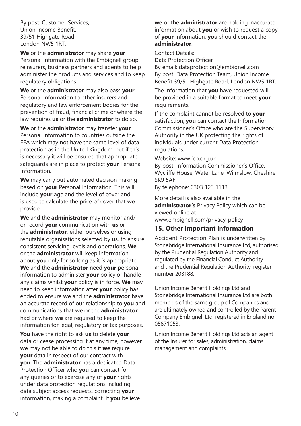By post: Customer Services, Union Income Benefit, 39/51 Highgate Road, London NW5 1RT.

**We** or the **administrator** may share **your** Personal Information with the Embignell group, reinsurers, business partners and agents to help administer the products and services and to keep regulatory obligations.

**We** or the **administrator** may also pass **your** Personal Information to other insurers and regulatory and law enforcement bodies for the prevention of fraud, financial crime or where the law requires **us** or the **administrator** to do so.

**We** or the **administrator** may transfer **your** Personal Information to countries outside the EEA which may not have the same level of data protection as in the United Kingdom, but if this is necessary it will be ensured that appropriate safeguards are in place to protect **your** Personal Information.

**We** may carry out automated decision making based on **your** Personal Information. This will include **your** age and the level of cover and is used to calculate the price of cover that **we** provide.

**We** and the **administrator** may monitor and/ or record **your** communication with **us** or the **administrator**, either ourselves or using reputable organisations selected by **us**, to ensure consistent servicing levels and operations. **We** or the **administrator** will keep information about **you** only for so long as it is appropriate. **We** and the **administrator** need **your** personal information to administer **your** policy or handle any claims whilst **your** policy is in force. **We** may need to keep information after **your** policy has ended to ensure **we** and the **administrator** have an accurate record of our relationship to **you** and communications that **we** or the **administrator** had or where **we** are required to keep the information for legal, regulatory or tax purposes.

**You** have the right to ask **us** to delete **your** data or cease processing it at any time, however **we** may not be able to do this if **we** require **your** data in respect of our contract with **you**. The **administrator** has a dedicated Data Protection Officer who **you** can contact for any queries or to exercise any of **your** rights under data protection regulations including: data subject access requests, correcting **your** information, making a complaint. If **you** believe

**we** or the **administrator** are holding inaccurate information about **you** or wish to request a copy of **your** information, **you** should contact the **administrator**.

Contact Details:

Data Protection Officer

By email: dataprotection@embignell.com By post: Data Protection Team, Union Income Benefit 39/51 Highgate Road, London NW5 1RT.

The information that **you** have requested will be provided in a suitable format to meet **your** requirements.

If the complaint cannot be resolved to **your** satisfaction, **you** can contact the Information Commissioner's Office who are the Supervisory Authority in the UK protecting the rights of individuals under current Data Protection regulations.

Website: www.ico.org.uk

By post: Information Commissioner's Office, Wycliffe House, Water Lane, Wilmslow, Cheshire SK9 5AF

By telephone: 0303 123 1113

More detail is also available in the **administrator's** Privacy Policy which can be viewed online at www.embignell.com/privacy-policy

# **15. Other important information**

Accident Protection Plan is underwritten by Stonebridge International Insurance Ltd, authorised by the Prudential Regulation Authority and regulated by the Financial Conduct Authority and the Prudential Regulation Authority, register number 203188.

Union Income Benefit Holdings Ltd and Stonebridge International Insurance Ltd are both members of the same group of Companies and are ultimately owned and controlled by the Parent Company Embignell Ltd, registered in England no 05871053.

Union Income Benefit Holdings Ltd acts an agent of the Insurer for sales, administration, claims management and complaints.